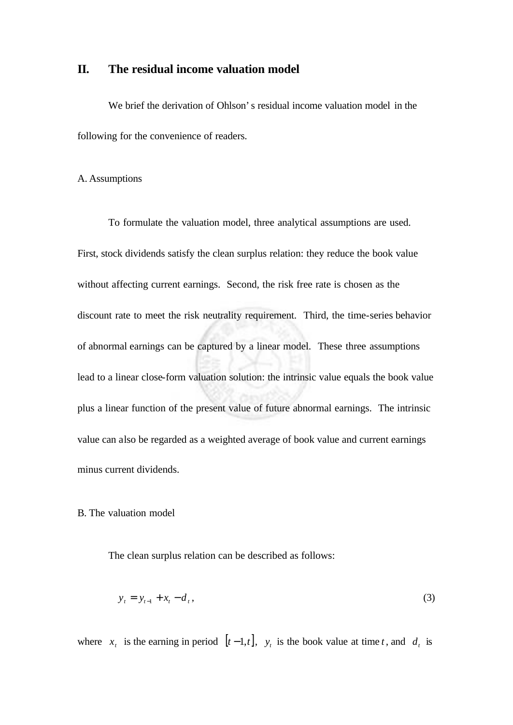## **II. The residual income valuation model**

We brief the derivation of Ohlson's residual income valuation model in the following for the convenience of readers.

## A. Assumptions

To formulate the valuation model, three analytical assumptions are used. First, stock dividends satisfy the clean surplus relation: they reduce the book value without affecting current earnings. Second, the risk free rate is chosen as the discount rate to meet the risk neutrality requirement. Third, the time-series behavior of abnormal earnings can be captured by a linear model. These three assumptions lead to a linear close-form valuation solution: the intrinsic value equals the book value plus a linear function of the present value of future abnormal earnings. The intrinsic value can also be regarded as a weighted average of book value and current earnings minus current dividends.

## B. The valuation model

The clean surplus relation can be described as follows:

$$
y_t = y_{t-1} + x_t - d_t, \tag{3}
$$

where  $x_t$  is the earning in period  $[t-1,t]$ ,  $y_t$  is the book value at time *t*, and  $d_t$  is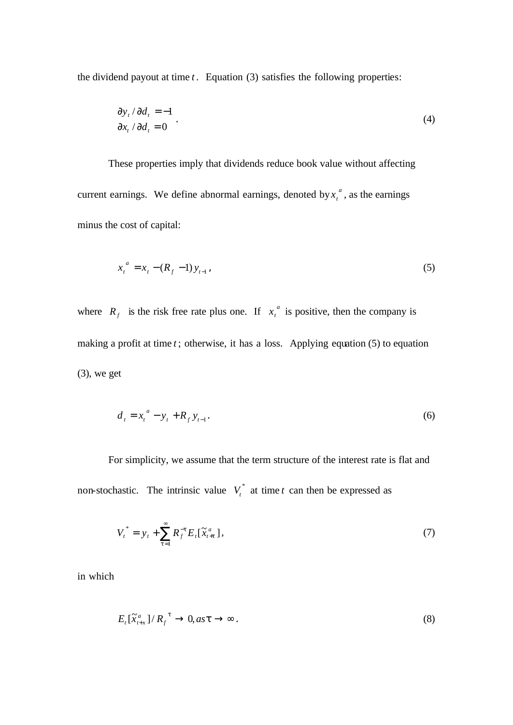the dividend payout at time *t* . Equation (3) satisfies the following properties:

$$
\frac{\partial y_t}{\partial d_t} = -1
$$
  

$$
\frac{\partial x_t}{\partial d_t} = 0
$$
 (4)

These properties imply that dividends reduce book value without affecting current earnings. We define abnormal earnings, denoted by  $x_t^a$ , as the earnings minus the cost of capital:

$$
x_t^a = x_t - (R_f - 1) y_{t-1} \tag{5}
$$

where  $R_f$  is the risk free rate plus one. If  $x_t^a$  is positive, then the company is making a profit at time *t* ; otherwise, it has a loss. Applying equation (5) to equation  $(3)$ , we get

$$
d_t = x_t^a - y_t + R_f y_{t-1}.
$$
 (6)

For simplicity, we assume that the term structure of the interest rate is flat and non-stochastic. The intrinsic value  $V_t^*$  at time *t* can then be expressed as

$$
V_t^* = y_t + \sum_{t=1}^{\infty} R_f^{-t} E_t[\tilde{x}_{t+t}^a], \tag{7}
$$

in which

$$
E_t[\tilde{X}_{t+x}^a]/R_f^{t} \to 0, as t \to \infty.
$$
\n(8)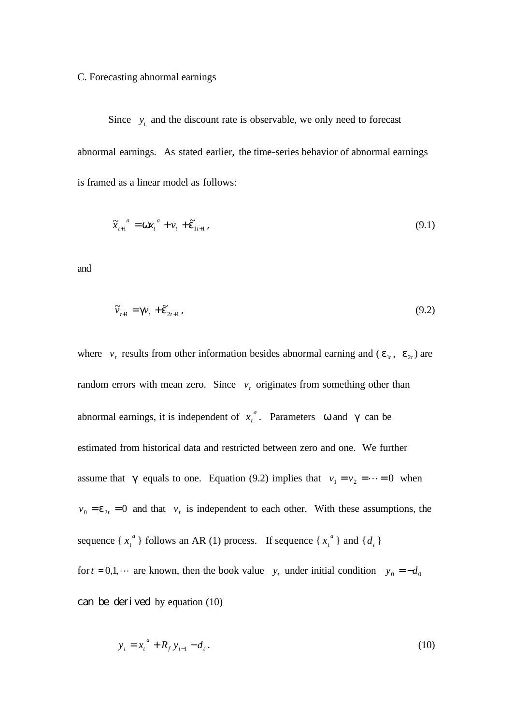## C. Forecasting abnormal earnings

Since  $y_t$  and the discount rate is observable, we only need to forecast abnormal earnings. As stated earlier, the time-series behavior of abnormal earnings is framed as a linear model as follows:

$$
\widetilde{\mathbf{x}}_{t+1}^{a} = \mathbf{W} \mathbf{x}_{t}^{a} + \mathbf{v}_{t} + \widetilde{\mathbf{e}}_{1t+1} \tag{9.1}
$$

and

$$
\widetilde{\mathbf{v}}_{t+1} = \mathbf{g} \mathbf{v}_t + \widetilde{\mathbf{e}}_{2t+1} \tag{9.2}
$$

where  $v_t$  results from other information besides abnormal earning and ( $e_{1t}$ ,  $e_{2t}$ ) are random errors with mean zero. Since  $v_t$  originates from something other than abnormal earnings, it is independent of  $x_t^a$ . Parameters *w* and *g* can be estimated from historical data and restricted between zero and one. We further assume that *g* equals to one. Equation (9.2) implies that  $v_1 = v_2 = \cdots = 0$  when  $v_0 = e_{2t} = 0$  and that  $v_t$  is independent to each other. With these assumptions, the sequence  $\left\{ x_i^a \right\}$  $x_t^a$  } follows an AR (1) process. If sequence { $x_t^a$  } and {*d<sub>t</sub>* } for  $t = 0, 1, \cdots$  are known, then the book value  $y_t$  under initial condition  $y_0 = -d_0$ can be derived by equation (10)

$$
y_t = x_t^a + R_f y_{t-1} - d_t.
$$
 (10)